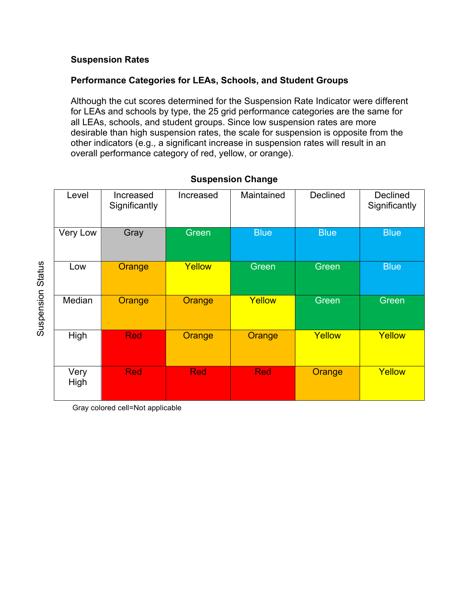## **Suspension Rates**

## **Performance Categories for LEAs, Schools, and Student Groups**

Although the cut scores determined for the Suspension Rate Indicator were different for LEAs and schools by type, the 25 grid performance categories are the same for all LEAs, schools, and student groups. Since low suspension rates are more desirable than high suspension rates, the scale for suspension is opposite from the other indicators (e.g., a significant increase in suspension rates will result in an overall performance category of red, yellow, or orange).

| Level        | Increased<br>Significantly | Increased  | Maintained  | Declined    | <b>Declined</b><br>Significantly |
|--------------|----------------------------|------------|-------------|-------------|----------------------------------|
| Very Low     | Gray                       | Green      | <b>Blue</b> | <b>Blue</b> | <b>Blue</b>                      |
| Low          | Orange                     | Yellow     | Green       | Green       | <b>Blue</b>                      |
| Median       | Orange                     | Orange     | Yellow      | Green       | Green                            |
| High         | <b>Red</b>                 | Orange     | Orange      | Yellow      | Yellow                           |
| Very<br>High | <b>Red</b>                 | <b>Red</b> | <b>Red</b>  | Orange      | Yellow                           |

## **Suspension Change**

Gray colored cell=Not applicable

**Suspension Status** Suspension Status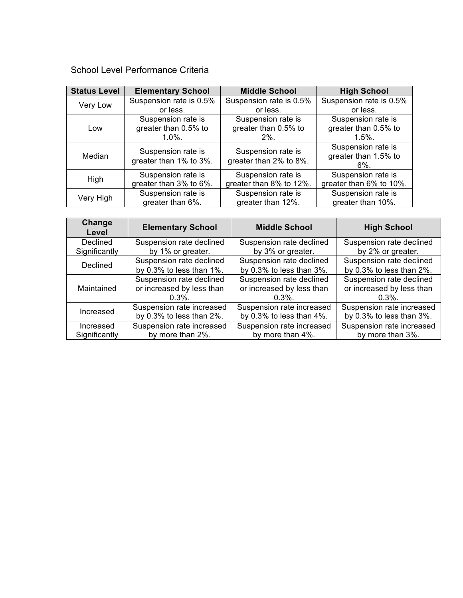School Level Performance Criteria

| <b>Status Level</b> | <b>Elementary School</b> | <b>Middle School</b>                         | <b>High School</b>      |
|---------------------|--------------------------|----------------------------------------------|-------------------------|
| Very Low            | Suspension rate is 0.5%  | Suspension rate is 0.5%                      | Suspension rate is 0.5% |
|                     | or less.                 | or less.                                     | or less.                |
| Low                 | Suspension rate is       | Suspension rate is                           | Suspension rate is      |
|                     | greater than 0.5% to     | greater than 0.5% to                         | greater than 0.5% to    |
|                     | $1.0\%$ .                | $2\%$ .                                      | $1.5\%$ .               |
| Median              | Suspension rate is       | Suspension rate is<br>greater than 2% to 8%. | Suspension rate is      |
|                     | greater than 1% to 3%.   |                                              | greater than 1.5% to    |
|                     |                          |                                              | $6\%$ .                 |
| High                | Suspension rate is       | Suspension rate is                           | Suspension rate is      |
|                     | greater than 3% to 6%.   | greater than 8% to 12%.                      | greater than 6% to 10%. |
| Very High           | Suspension rate is       | Suspension rate is                           | Suspension rate is      |
|                     | greater than 6%.         | greater than 12%.                            | greater than 10%.       |

| Change<br>Level | <b>Elementary School</b>  | <b>Middle School</b>      | <b>High School</b>        |
|-----------------|---------------------------|---------------------------|---------------------------|
| Declined        | Suspension rate declined  | Suspension rate declined  | Suspension rate declined  |
| Significantly   | by 1% or greater.         | by 3% or greater.         | by 2% or greater.         |
| Declined        | Suspension rate declined  | Suspension rate declined  | Suspension rate declined  |
|                 | by 0.3% to less than 1%.  | by 0.3% to less than 3%.  | by 0.3% to less than 2%.  |
| Maintained      | Suspension rate declined  | Suspension rate declined  | Suspension rate declined  |
|                 | or increased by less than | or increased by less than | or increased by less than |
|                 | $0.3\%$ .                 | $0.3\%$ .                 | $0.3\%$ .                 |
| Increased       | Suspension rate increased | Suspension rate increased | Suspension rate increased |
|                 | by 0.3% to less than 2%.  | by 0.3% to less than 4%.  | by 0.3% to less than 3%.  |
| Increased       | Suspension rate increased | Suspension rate increased | Suspension rate increased |
| Significantly   | by more than 2%.          | by more than 4%.          | by more than 3%.          |